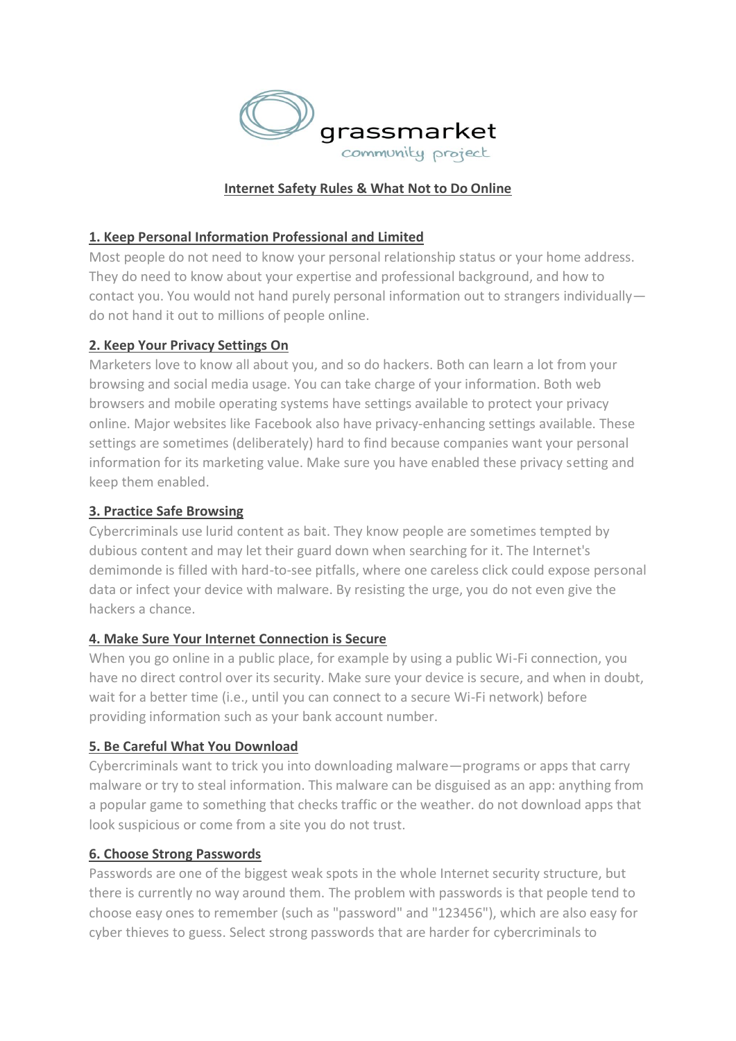

### **Internet Safety Rules & What Not to Do Online**

#### **1. Keep Personal Information Professional and Limited**

Most people do not need to know your personal relationship status or your home address. They do need to know about your expertise and professional background, and how to contact you. You would not hand purely personal information out to strangers individually do not hand it out to millions of people online.

#### **2. Keep Your Privacy Settings On**

Marketers love to know all about you, and so do hackers. Both can learn a lot from your browsing and social media usage. You can take charge of your information. Both web browsers and mobile operating systems have settings available to protect your privacy online. Major websites like Facebook also have privacy-enhancing settings available. These settings are sometimes (deliberately) hard to find because companies want your personal information for its marketing value. Make sure you have enabled these privacy setting and keep them enabled.

### **3. Practice Safe Browsing**

Cybercriminals use lurid content as bait. They know people are sometimes tempted by dubious content and may let their guard down when searching for it. The Internet's demimonde is filled with hard-to-see pitfalls, where one careless click could expose personal data or infect your device with malware. By resisting the urge, you do not even give the hackers a chance.

#### **4. Make Sure Your Internet Connection is Secure**

When you go online in a public place, for example by using a public Wi-Fi connection, you have no direct control over its security. Make sure your device is secure, and when in doubt, wait for a better time (i.e., until you can connect to a secure Wi-Fi network) before providing information such as your bank account number.

### **5. Be Careful What You Download**

Cybercriminals want to trick you into downloading malware—programs or apps that carry malware or try to steal information. This malware can be disguised as an app: anything from a popular game to something that checks traffic or the weather. do not download apps that look suspicious or come from a site you do not trust.

#### **6. Choose Strong Passwords**

Passwords are one of the biggest weak spots in the whole Internet security structure, but there is currently no way around them. The problem with passwords is that people tend to choose easy ones to remember (such as "password" and "123456"), which are also easy for cyber thieves to guess. Select strong passwords that are harder for cybercriminals to